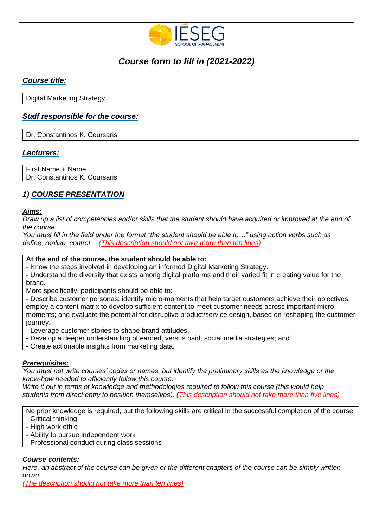

# *Course form to fill in (2021-2022)*

## *Course title:*

Digital Marketing Strategy

## *Staff responsible for the course:*

Dr. Constantinos K. Coursaris

### *Lecturers:*

First Name + Name Dr. Constantinos K. Coursaris

## *1) COURSE PRESENTATION*

#### *Aims:*

*Draw up a list of competencies and/or skills that the student should have acquired or improved at the end of the course.* 

*You must fill in the field under the format "the student should be able to…" using action verbs such as define, realise, control… (This description should not take more than ten lines)*

#### **At the end of the course, the student should be able to:**

- Know the steps involved in developing an informed Digital Marketing Strategy.

- Understand the diversity that exists among digital platforms and their varied fit in creating value for the brand.

More specifically, participants should be able to:

- Describe customer personas; identify micro-moments that help target customers achieve their objectives; employ a content matrix to develop sufficient content to meet customer needs across important micromoments; and evaluate the potential for disruptive product/service design, based on reshaping the customer journey.

- Leverage customer stories to shape brand attitudes.

- Develop a deeper understanding of earned, versus paid, social media strategies; and
- Create actionable insights from marketing data.

#### *Prerequisites:*

*You must not write courses' codes or names, but identify the preliminary skills as the knowledge or the know-how needed to efficiently follow this course.* 

*Write it out in terms of knowledge and methodologies required to follow this course (this would help students from direct entry to position themselves). (This description should not take more than five lines)*

No prior knowledge is required, but the following skills are critical in the successful completion of the course: - Critical thinking

- High work ethic
- Ability to pursue independent work
- Professional conduct during class sessions

#### *Course contents:*

*Here, an abstract of the course can be given or the different chapters of the course can be simply written down.*

*(The description should not take more than ten lines)*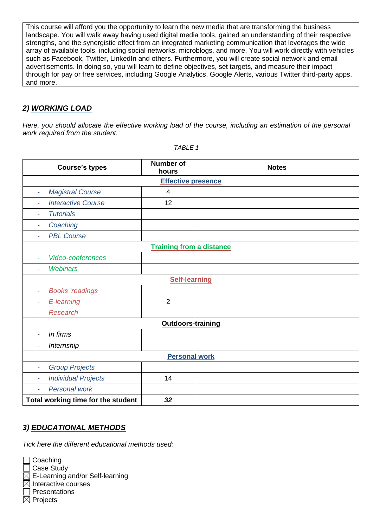This course will afford you the opportunity to learn the new media that are transforming the business landscape. You will walk away having used digital media tools, gained an understanding of their respective strengths, and the synergistic effect from an integrated marketing communication that leverages the wide array of available tools, including social networks, microblogs, and more. You will work directly with vehicles such as Facebook, Twitter, LinkedIn and others. Furthermore, you will create social network and email advertisements. In doing so, you will learn to define objectives, set targets, and measure their impact through for pay or free services, including Google Analytics, Google Alerts, various Twitter third-party apps, and more.

## *2) WORKING LOAD*

*Here, you should allocate the effective working load of the course, including an estimation of the personal work required from the student.*

| <b>Course's types</b>                                  | <b>Number of</b><br>hours | <b>Notes</b> |  |  |  |
|--------------------------------------------------------|---------------------------|--------------|--|--|--|
| <b>Effective presence</b>                              |                           |              |  |  |  |
| <b>Magistral Course</b><br>$\overline{\phantom{a}}$    | 4                         |              |  |  |  |
| <b>Interactive Course</b><br>$\overline{\phantom{a}}$  | 12                        |              |  |  |  |
| <b>Tutorials</b><br>$\overline{\phantom{a}}$           |                           |              |  |  |  |
| Coaching<br>$\overline{\phantom{a}}$                   |                           |              |  |  |  |
| <b>PBL Course</b><br>۰                                 |                           |              |  |  |  |
| <b>Training from a distance</b>                        |                           |              |  |  |  |
| Video-conferences<br>$\overline{\phantom{a}}$          |                           |              |  |  |  |
| <b>Webinars</b>                                        |                           |              |  |  |  |
| <b>Self-learning</b>                                   |                           |              |  |  |  |
| <b>Books</b> 'readings<br>÷                            |                           |              |  |  |  |
| E-learning<br>$\overline{\phantom{a}}$                 | $\overline{2}$            |              |  |  |  |
| <b>Research</b><br>÷                                   |                           |              |  |  |  |
| <b>Outdoors-training</b>                               |                           |              |  |  |  |
| In firms<br>$\overline{a}$                             |                           |              |  |  |  |
| Internship<br>$\overline{\phantom{a}}$                 |                           |              |  |  |  |
| <b>Personal work</b>                                   |                           |              |  |  |  |
| <b>Group Projects</b><br>ä,                            |                           |              |  |  |  |
| <b>Individual Projects</b><br>$\overline{\phantom{a}}$ | 14                        |              |  |  |  |
| <b>Personal work</b><br>$\overline{\phantom{a}}$       |                           |              |  |  |  |
| Total working time for the student                     | 32                        |              |  |  |  |

*TABLE 1*

## *3) EDUCATIONAL METHODS*

*Tick here the different educational methods used:*

 $\Box$  Coaching

□ Case Study

 $\boxtimes$  E-Learning and/or Self-learning

 $\boxtimes$  Interactive courses

**Presentations** 

 $\boxtimes$  Projects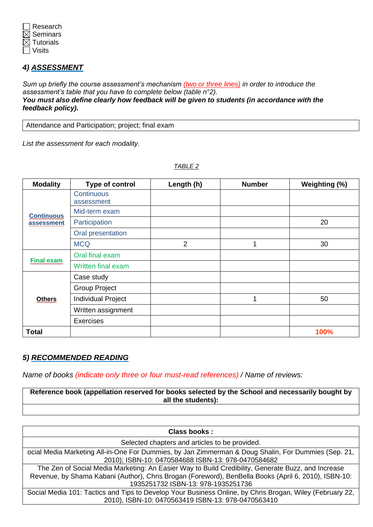

## *4) ASSESSMENT*

*Sum up briefly the course assessment's mechanism (two or three lines) in order to introduce the assessment's table that you have to complete below (table n°2). You must also define clearly how feedback will be given to students (in accordance with the feedback policy).*

Attendance and Participation; project; final exam

*List the assessment for each modality.*

| <b>Modality</b>   | Type of control                 | Length (h)     | <b>Number</b> | Weighting (%) |
|-------------------|---------------------------------|----------------|---------------|---------------|
| <b>Continuous</b> | <b>Continuous</b><br>assessment |                |               |               |
|                   | Mid-term exam                   |                |               |               |
| assessment        | Participation                   |                |               | 20            |
|                   | Oral presentation               |                |               |               |
|                   | <b>MCQ</b>                      | $\overline{2}$ | 1             | 30            |
|                   | Oral final exam                 |                |               |               |
| <b>Final exam</b> | Written final exam              |                |               |               |
|                   | Case study                      |                |               |               |
|                   | <b>Group Project</b>            |                |               |               |
| <b>Others</b>     | <b>Individual Project</b>       |                | 1             | 50            |
|                   | Written assignment              |                |               |               |
|                   | <b>Exercises</b>                |                |               |               |
| <b>Total</b>      |                                 |                |               | 100%          |

#### *TABLE 2*

#### *5) RECOMMENDED READING*

*Name of books (indicate only three or four must-read references) / Name of reviews:* 

**Reference book (appellation reserved for books selected by the School and necessarily bought by all the students):**

| Class books:                                                                                                                                                                                                                                     |  |  |
|--------------------------------------------------------------------------------------------------------------------------------------------------------------------------------------------------------------------------------------------------|--|--|
| Selected chapters and articles to be provided.                                                                                                                                                                                                   |  |  |
| ocial Media Marketing All-in-One For Dummies, by Jan Zimmerman & Doug Shalin, For Dummies (Sep. 21,<br>2010); ISBN-10: 0470584688 ISBN-13: 978-0470584682                                                                                        |  |  |
| The Zen of Social Media Marketing: An Easier Way to Build Credibility, Generate Buzz, and Increase<br>Revenue, by Shama Kabani (Author), Chris Brogan (Foreword), BenBella Books (April 6, 2010), ISBN-10:<br>1935251732 ISBN-13: 978-1935251736 |  |  |
| Social Media 101: Tactics and Tips to Develop Your Business Online, by Chris Brogan, Wiley (February 22,<br>2010), ISBN-10: 0470563419 ISBN-13: 978-0470563410                                                                                   |  |  |